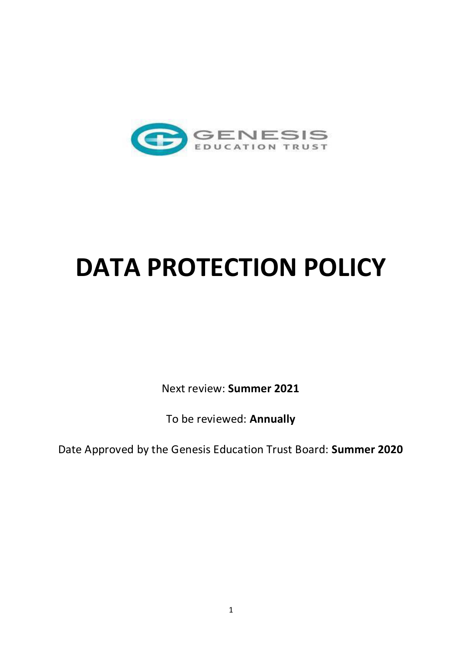

# **DATA PROTECTION POLICY**

Next review: **Summer 2021** 

To be reviewed: **Annually** 

Date Approved by the Genesis Education Trust Board: **Summer 2020**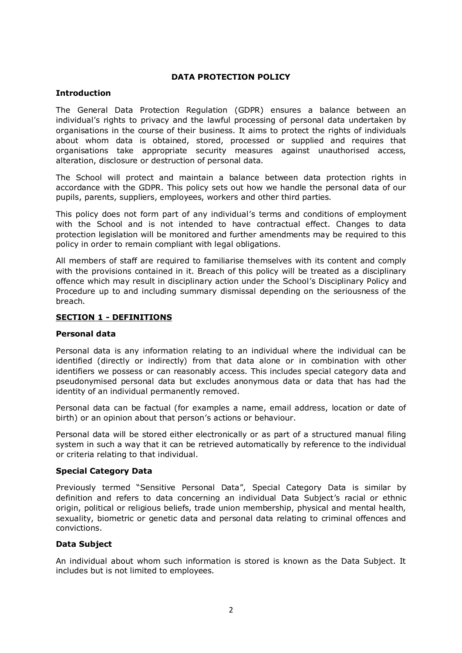# **DATA PROTECTION POLICY**

## **Introduction**

The General Data Protection Regulation (GDPR) ensures a balance between an individual's rights to privacy and the lawful processing of personal data undertaken by organisations in the course of their business. It aims to protect the rights of individuals about whom data is obtained, stored, processed or supplied and requires that organisations take appropriate security measures against unauthorised access, alteration, disclosure or destruction of personal data.

The School will protect and maintain a balance between data protection rights in accordance with the GDPR. This policy sets out how we handle the personal data of our pupils, parents, suppliers, employees, workers and other third parties.

This policy does not form part of any individual's terms and conditions of employment with the School and is not intended to have contractual effect. Changes to data protection legislation will be monitored and further amendments may be required to this policy in order to remain compliant with legal obligations.

All members of staff are required to familiarise themselves with its content and comply with the provisions contained in it. Breach of this policy will be treated as a disciplinary offence which may result in disciplinary action under the School's Disciplinary Policy and Procedure up to and including summary dismissal depending on the seriousness of the breach.

# **SECTION 1 - DEFINITIONS**

## **Personal data**

Personal data is any information relating to an individual where the individual can be identified (directly or indirectly) from that data alone or in combination with other identifiers we possess or can reasonably access. This includes special category data and pseudonymised personal data but excludes anonymous data or data that has had the identity of an individual permanently removed.

Personal data can be factual (for examples a name, email address, location or date of birth) or an opinion about that person's actions or behaviour.

Personal data will be stored either electronically or as part of a structured manual filing system in such a way that it can be retrieved automatically by reference to the individual or criteria relating to that individual.

## **Special Category Data**

Previously termed "Sensitive Personal Data", Special Category Data is similar by definition and refers to data concerning an individual Data Subject's racial or ethnic origin, political or religious beliefs, trade union membership, physical and mental health, sexuality, biometric or genetic data and personal data relating to criminal offences and convictions.

## **Data Subject**

An individual about whom such information is stored is known as the Data Subject. It includes but is not limited to employees.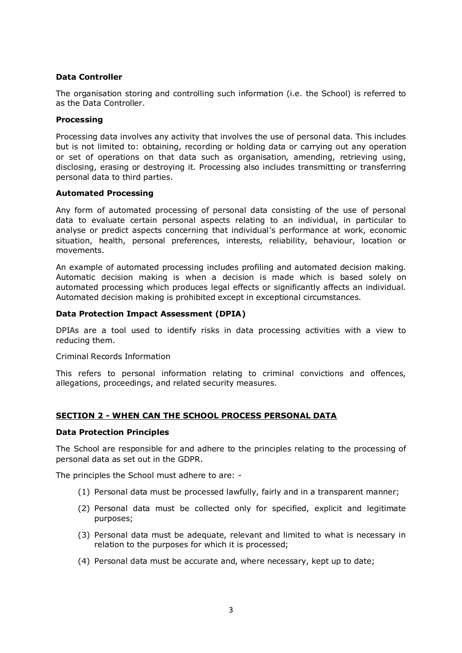# **Data Controller**

The organisation storing and controlling such information (i.e. the School) is referred to as the Data Controller.

## **Processing**

Processing data involves any activity that involves the use of personal data. This includes but is not limited to: obtaining, recording or holding data or carrying out any operation or set of operations on that data such as organisation, amending, retrieving using, disclosing, erasing or destroying it. Processing also includes transmitting or transferring personal data to third parties.

#### **Automated Processing**

Any form of automated processing of personal data consisting of the use of personal data to evaluate certain personal aspects relating to an individual, in particular to analyse or predict aspects concerning that individual's performance at work, economic situation, health, personal preferences, interests, reliability, behaviour, location or movements.

An example of automated processing includes profiling and automated decision making. Automatic decision making is when a decision is made which is based solely on automated processing which produces legal effects or significantly affects an individual. Automated decision making is prohibited except in exceptional circumstances.

#### **Data Protection Impact Assessment (DPIA)**

DPIAs are a tool used to identify risks in data processing activities with a view to reducing them.

#### Criminal Records Information

This refers to personal information relating to criminal convictions and offences, allegations, proceedings, and related security measures.

## **SECTION 2 - WHEN CAN THE SCHOOL PROCESS PERSONAL DATA**

#### **Data Protection Principles**

The School are responsible for and adhere to the principles relating to the processing of personal data as set out in the GDPR.

The principles the School must adhere to are: -

- (1) Personal data must be processed lawfully, fairly and in a transparent manner;
- (2) Personal data must be collected only for specified, explicit and legitimate purposes;
- (3) Personal data must be adequate, relevant and limited to what is necessary in relation to the purposes for which it is processed;
- (4) Personal data must be accurate and, where necessary, kept up to date;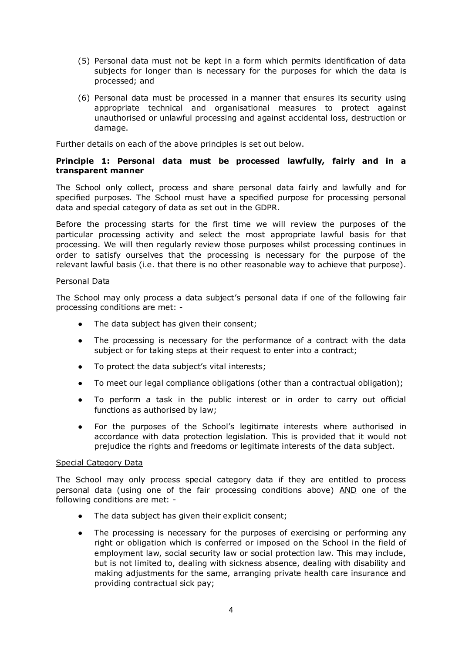- (5) Personal data must not be kept in a form which permits identification of data subjects for longer than is necessary for the purposes for which the data is processed; and
- (6) Personal data must be processed in a manner that ensures its security using appropriate technical and organisational measures to protect against unauthorised or unlawful processing and against accidental loss, destruction or damage.

Further details on each of the above principles is set out below.

# **Principle 1: Personal data must be processed lawfully, fairly and in a transparent manner**

The School only collect, process and share personal data fairly and lawfully and for specified purposes. The School must have a specified purpose for processing personal data and special category of data as set out in the GDPR.

Before the processing starts for the first time we will review the purposes of the particular processing activity and select the most appropriate lawful basis for that processing. We will then regularly review those purposes whilst processing continues in order to satisfy ourselves that the processing is necessary for the purpose of the relevant lawful basis (i.e. that there is no other reasonable way to achieve that purpose).

# Personal Data

The School may only process a data subject's personal data if one of the following fair processing conditions are met: -

- The data subject has given their consent;
- The processing is necessary for the performance of a contract with the data subject or for taking steps at their request to enter into a contract;
- To protect the data subject's vital interests;
- To meet our legal compliance obligations (other than a contractual obligation);
- To perform a task in the public interest or in order to carry out official functions as authorised by law;
- For the purposes of the School's legitimate interests where authorised in accordance with data protection legislation. This is provided that it would not prejudice the rights and freedoms or legitimate interests of the data subject.

## Special Category Data

The School may only process special category data if they are entitled to process personal data (using one of the fair processing conditions above) AND one of the following conditions are met: -

- The data subject has given their explicit consent;
- The processing is necessary for the purposes of exercising or performing any right or obligation which is conferred or imposed on the School in the field of employment law, social security law or social protection law. This may include, but is not limited to, dealing with sickness absence, dealing with disability and making adjustments for the same, arranging private health care insurance and providing contractual sick pay;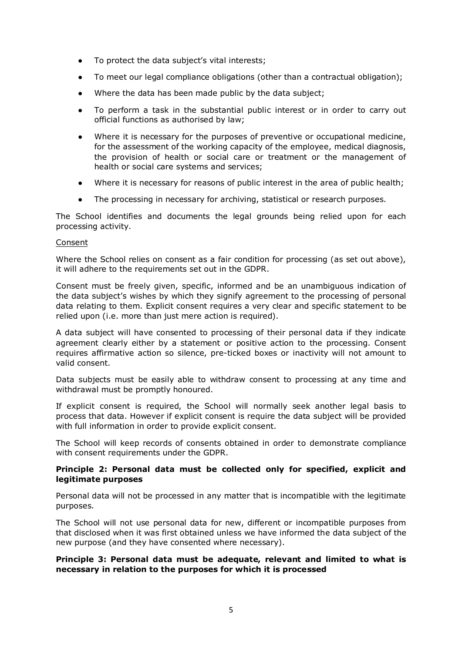- To protect the data subject's vital interests;
- To meet our legal compliance obligations (other than a contractual obligation);
- Where the data has been made public by the data subject;
- To perform a task in the substantial public interest or in order to carry out official functions as authorised by law;
- Where it is necessary for the purposes of preventive or occupational medicine, for the assessment of the working capacity of the employee, medical diagnosis, the provision of health or social care or treatment or the management of health or social care systems and services;
- Where it is necessary for reasons of public interest in the area of public health;
- The processing in necessary for archiving, statistical or research purposes.

The School identifies and documents the legal grounds being relied upon for each processing activity.

#### Consent

Where the School relies on consent as a fair condition for processing (as set out above), it will adhere to the requirements set out in the GDPR.

Consent must be freely given, specific, informed and be an unambiguous indication of the data subject's wishes by which they signify agreement to the processing of personal data relating to them. Explicit consent requires a very clear and specific statement to be relied upon (i.e. more than just mere action is required).

A data subject will have consented to processing of their personal data if they indicate agreement clearly either by a statement or positive action to the processing. Consent requires affirmative action so silence, pre-ticked boxes or inactivity will not amount to valid consent.

Data subjects must be easily able to withdraw consent to processing at any time and withdrawal must be promptly honoured.

If explicit consent is required, the School will normally seek another legal basis to process that data. However if explicit consent is require the data subject will be provided with full information in order to provide explicit consent.

The School will keep records of consents obtained in order to demonstrate compliance with consent requirements under the GDPR.

# **Principle 2: Personal data must be collected only for specified, explicit and legitimate purposes**

Personal data will not be processed in any matter that is incompatible with the legitimate purposes.

The School will not use personal data for new, different or incompatible purposes from that disclosed when it was first obtained unless we have informed the data subject of the new purpose (and they have consented where necessary).

## **Principle 3: Personal data must be adequate, relevant and limited to what is necessary in relation to the purposes for which it is processed**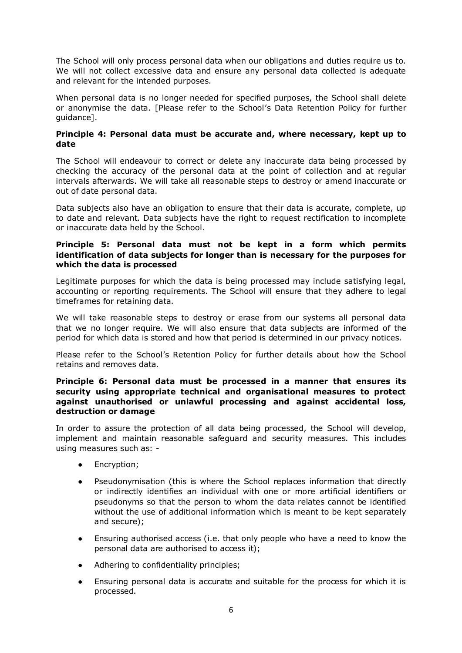The School will only process personal data when our obligations and duties require us to. We will not collect excessive data and ensure any personal data collected is adequate and relevant for the intended purposes.

When personal data is no longer needed for specified purposes, the School shall delete or anonymise the data. [Please refer to the School's Data Retention Policy for further guidance].

# **Principle 4: Personal data must be accurate and, where necessary, kept up to date**

The School will endeavour to correct or delete any inaccurate data being processed by checking the accuracy of the personal data at the point of collection and at regular intervals afterwards. We will take all reasonable steps to destroy or amend inaccurate or out of date personal data.

Data subjects also have an obligation to ensure that their data is accurate, complete, up to date and relevant. Data subjects have the right to request rectification to incomplete or inaccurate data held by the School.

# **Principle 5: Personal data must not be kept in a form which permits identification of data subjects for longer than is necessary for the purposes for which the data is processed**

Legitimate purposes for which the data is being processed may include satisfying legal, accounting or reporting requirements. The School will ensure that they adhere to legal timeframes for retaining data.

We will take reasonable steps to destroy or erase from our systems all personal data that we no longer require. We will also ensure that data subjects are informed of the period for which data is stored and how that period is determined in our privacy notices.

Please refer to the School's Retention Policy for further details about how the School retains and removes data.

# **Principle 6: Personal data must be processed in a manner that ensures its security using appropriate technical and organisational measures to protect against unauthorised or unlawful processing and against accidental loss, destruction or damage**

In order to assure the protection of all data being processed, the School will develop, implement and maintain reasonable safeguard and security measures. This includes using measures such as: -

- Encryption;
- Pseudonymisation (this is where the School replaces information that directly or indirectly identifies an individual with one or more artificial identifiers or pseudonyms so that the person to whom the data relates cannot be identified without the use of additional information which is meant to be kept separately and secure);
- Ensuring authorised access (i.e. that only people who have a need to know the personal data are authorised to access it);
- Adhering to confidentiality principles:
- Ensuring personal data is accurate and suitable for the process for which it is processed.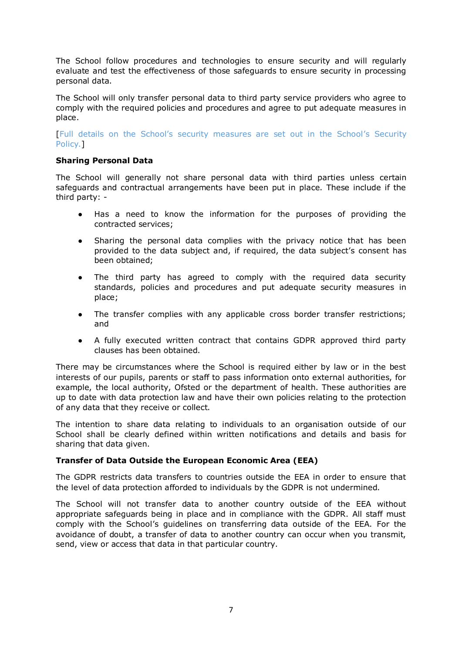The School follow procedures and technologies to ensure security and will regularly evaluate and test the effectiveness of those safeguards to ensure security in processing personal data.

The School will only transfer personal data to third party service providers who agree to comply with the required policies and procedures and agree to put adequate measures in place.

[Full details on the School's security measures are set out in the School's Security Policy.]

# **Sharing Personal Data**

The School will generally not share personal data with third parties unless certain safeguards and contractual arrangements have been put in place. These include if the third party: -

- Has a need to know the information for the purposes of providing the contracted services;
- Sharing the personal data complies with the privacy notice that has been provided to the data subject and, if required, the data subject's consent has been obtained;
- The third party has agreed to comply with the required data security standards, policies and procedures and put adequate security measures in place;
- The transfer complies with any applicable cross border transfer restrictions; and
- A fully executed written contract that contains GDPR approved third party clauses has been obtained.

There may be circumstances where the School is required either by law or in the best interests of our pupils, parents or staff to pass information onto external authorities, for example, the local authority, Ofsted or the department of health. These authorities are up to date with data protection law and have their own policies relating to the protection of any data that they receive or collect.

The intention to share data relating to individuals to an organisation outside of our School shall be clearly defined within written notifications and details and basis for sharing that data given.

# **Transfer of Data Outside the European Economic Area (EEA)**

The GDPR restricts data transfers to countries outside the EEA in order to ensure that the level of data protection afforded to individuals by the GDPR is not undermined.

The School will not transfer data to another country outside of the EEA without appropriate safeguards being in place and in compliance with the GDPR. All staff must comply with the School's guidelines on transferring data outside of the EEA. For the avoidance of doubt, a transfer of data to another country can occur when you transmit, send, view or access that data in that particular country.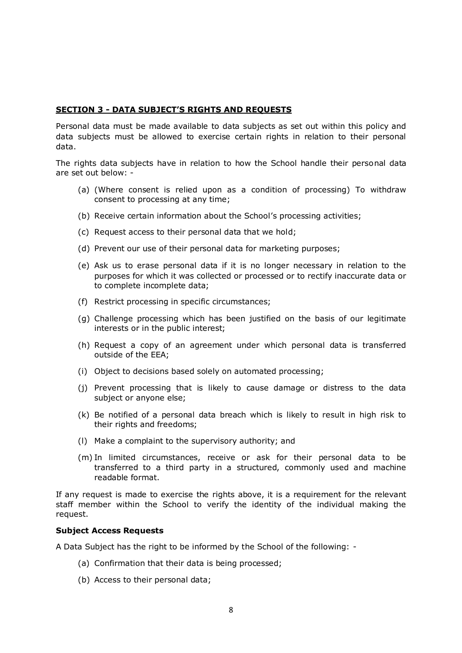# **SECTION 3 - DATA SUBJECT'S RIGHTS AND REQUESTS**

Personal data must be made available to data subjects as set out within this policy and data subjects must be allowed to exercise certain rights in relation to their personal data.

The rights data subjects have in relation to how the School handle their personal data are set out below: -

- (a) (Where consent is relied upon as a condition of processing) To withdraw consent to processing at any time;
- (b) Receive certain information about the School's processing activities;
- (c) Request access to their personal data that we hold;
- (d) Prevent our use of their personal data for marketing purposes;
- (e) Ask us to erase personal data if it is no longer necessary in relation to the purposes for which it was collected or processed or to rectify inaccurate data or to complete incomplete data;
- (f) Restrict processing in specific circumstances;
- (g) Challenge processing which has been justified on the basis of our legitimate interests or in the public interest;
- (h) Request a copy of an agreement under which personal data is transferred outside of the EEA;
- (i) Object to decisions based solely on automated processing;
- (j) Prevent processing that is likely to cause damage or distress to the data subject or anyone else;
- (k) Be notified of a personal data breach which is likely to result in high risk to their rights and freedoms;
- (l) Make a complaint to the supervisory authority; and
- (m) In limited circumstances, receive or ask for their personal data to be transferred to a third party in a structured, commonly used and machine readable format.

If any request is made to exercise the rights above, it is a requirement for the relevant staff member within the School to verify the identity of the individual making the request.

#### **Subject Access Requests**

A Data Subject has the right to be informed by the School of the following: -

- (a) Confirmation that their data is being processed;
- (b) Access to their personal data;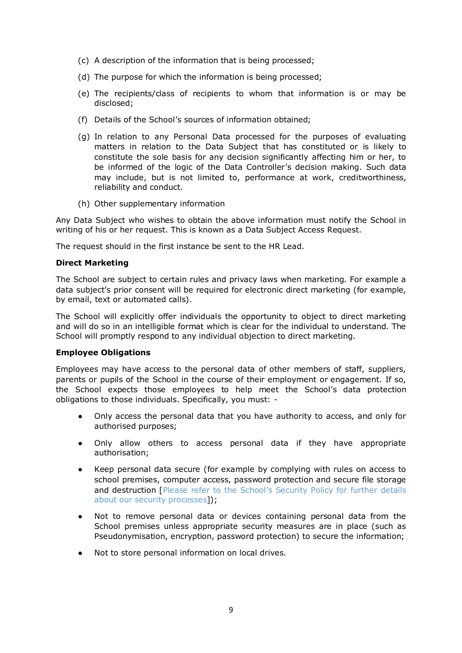- (c) A description of the information that is being processed;
- (d) The purpose for which the information is being processed;
- (e) The recipients/class of recipients to whom that information is or may be disclosed;
- (f) Details of the School's sources of information obtained;
- (g) In relation to any Personal Data processed for the purposes of evaluating matters in relation to the Data Subject that has constituted or is likely to constitute the sole basis for any decision significantly affecting him or her, to be informed of the logic of the Data Controller's decision making. Such data may include, but is not limited to, performance at work, creditworthiness, reliability and conduct.
- (h) Other supplementary information

Any Data Subject who wishes to obtain the above information must notify the School in writing of his or her request. This is known as a Data Subject Access Request.

The request should in the first instance be sent to the HR Lead.

# **Direct Marketing**

The School are subject to certain rules and privacy laws when marketing. For example a data subject's prior consent will be required for electronic direct marketing (for example, by email, text or automated calls).

The School will explicitly offer individuals the opportunity to object to direct marketing and will do so in an intelligible format which is clear for the individual to understand. The School will promptly respond to any individual objection to direct marketing.

## **Employee Obligations**

Employees may have access to the personal data of other members of staff, suppliers, parents or pupils of the School in the course of their employment or engagement. If so, the School expects those employees to help meet the School's data protection obligations to those individuals. Specifically, you must: -

- Only access the personal data that you have authority to access, and only for authorised purposes;
- Only allow others to access personal data if they have appropriate authorisation;
- Keep personal data secure (for example by complying with rules on access to school premises, computer access, password protection and secure file storage and destruction [Please refer to the School's Security Policy for further details about our security processes]);
- Not to remove personal data or devices containing personal data from the School premises unless appropriate security measures are in place (such as Pseudonymisation, encryption, password protection) to secure the information;
- Not to store personal information on local drives.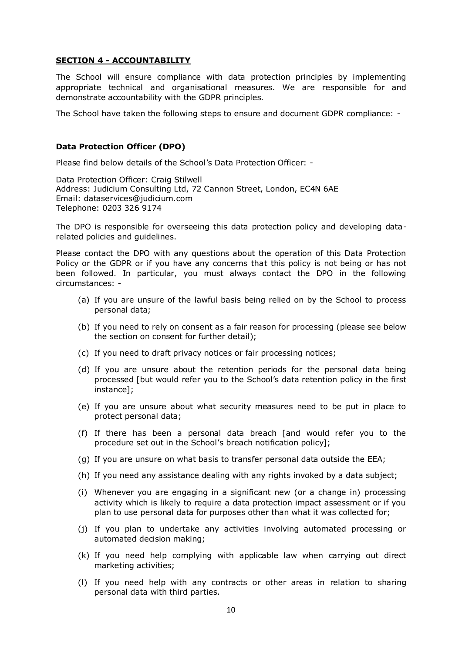### **SECTION 4 - ACCOUNTABILITY**

The School will ensure compliance with data protection principles by implementing appropriate technical and organisational measures. We are responsible for and demonstrate accountability with the GDPR principles.

The School have taken the following steps to ensure and document GDPR compliance: -

#### **Data Protection Officer (DPO)**

Please find below details of the School's Data Protection Officer: -

Data Protection Officer: Craig Stilwell Address: Judicium Consulting Ltd, 72 Cannon Street, London, EC4N 6AE Email: [dataservices@judicium.com](mailto:dataservices@judicium.com)  Telephone: 0203 326 9174

The DPO is responsible for overseeing this data protection policy and developing datarelated policies and guidelines.

Please contact the DPO with any questions about the operation of this Data Protection Policy or the GDPR or if you have any concerns that this policy is not being or has not been followed. In particular, you must always contact the DPO in the following circumstances: -

- (a) If you are unsure of the lawful basis being relied on by the School to process personal data;
- (b) If you need to rely on consent as a fair reason for processing (please see below the section on consent for further detail);
- (c) If you need to draft privacy notices or fair processing notices;
- (d) If you are unsure about the retention periods for the personal data being processed [but would refer you to the School's data retention policy in the first instance];
- (e) If you are unsure about what security measures need to be put in place to protect personal data;
- (f) If there has been a personal data breach [and would refer you to the procedure set out in the School's breach notification policy];
- (g) If you are unsure on what basis to transfer personal data outside the EEA;
- (h) If you need any assistance dealing with any rights invoked by a data subject;
- (i) Whenever you are engaging in a significant new (or a change in) processing activity which is likely to require a data protection impact assessment or if you plan to use personal data for purposes other than what it was collected for;
- (j) If you plan to undertake any activities involving automated processing or automated decision making;
- (k) If you need help complying with applicable law when carrying out direct marketing activities;
- (l) If you need help with any contracts or other areas in relation to sharing personal data with third parties.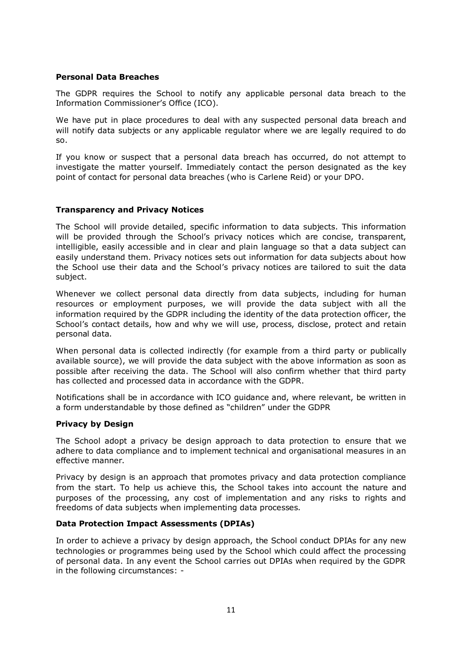# **Personal Data Breaches**

The GDPR requires the School to notify any applicable personal data breach to the Information Commissioner's Office (ICO).

We have put in place procedures to deal with any suspected personal data breach and will notify data subjects or any applicable regulator where we are legally required to do so.

If you know or suspect that a personal data breach has occurred, do not attempt to investigate the matter yourself. Immediately contact the person designated as the key point of contact for personal data breaches (who is Carlene Reid) or your DPO.

# **Transparency and Privacy Notices**

The School will provide detailed, specific information to data subjects. This information will be provided through the School's privacy notices which are concise, transparent, intelligible, easily accessible and in clear and plain language so that a data subject can easily understand them. Privacy notices sets out information for data subjects about how the School use their data and the School's privacy notices are tailored to suit the data subject.

Whenever we collect personal data directly from data subjects, including for human resources or employment purposes, we will provide the data subject with all the information required by the GDPR including the identity of the data protection officer, the School's contact details, how and why we will use, process, disclose, protect and retain personal data.

When personal data is collected indirectly (for example from a third party or publically available source), we will provide the data subject with the above information as soon as possible after receiving the data. The School will also confirm whether that third party has collected and processed data in accordance with the GDPR.

Notifications shall be in accordance with ICO guidance and, where relevant, be written in a form understandable by those defined as "children" under the GDPR

## **Privacy by Design**

The School adopt a privacy be design approach to data protection to ensure that we adhere to data compliance and to implement technical and organisational measures in an effective manner.

Privacy by design is an approach that promotes privacy and data protection compliance from the start. To help us achieve this, the School takes into account the nature and purposes of the processing, any cost of implementation and any risks to rights and freedoms of data subjects when implementing data processes.

## **Data Protection Impact Assessments (DPIAs)**

In order to achieve a privacy by design approach, the School conduct DPIAs for any new technologies or programmes being used by the School which could affect the processing of personal data. In any event the School carries out DPIAs when required by the GDPR in the following circumstances: -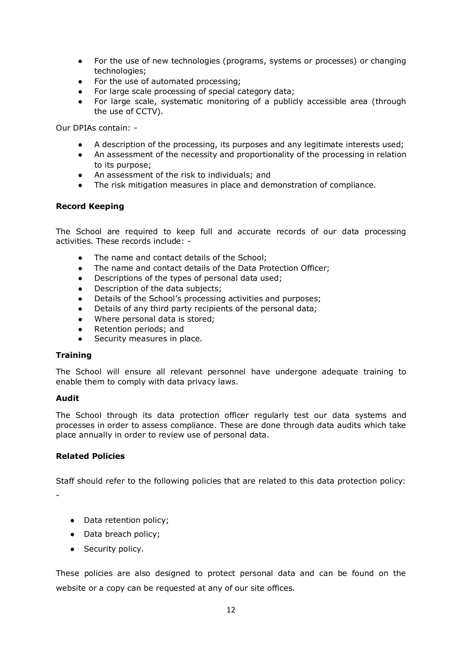- For the use of new technologies (programs, systems or processes) or changing technologies;
- For the use of automated processing;
- For large scale processing of special category data;
- For large scale, systematic monitoring of a publicly accessible area (through the use of CCTV).

Our DPIAs contain: -

- A description of the processing, its purposes and any legitimate interests used;
- An assessment of the necessity and proportionality of the processing in relation to its purpose;
- An assessment of the risk to individuals; and
- The risk mitigation measures in place and demonstration of compliance.

# **Record Keeping**

The School are required to keep full and accurate records of our data processing activities. These records include: -

- The name and contact details of the School:
- The name and contact details of the Data Protection Officer;
- Descriptions of the types of personal data used;
- Description of the data subjects;
- Details of the School's processing activities and purposes;
- Details of any third party recipients of the personal data;
- Where personal data is stored;
- Retention periods: and
- Security measures in place.

## **Training**

The School will ensure all relevant personnel have undergone adequate training to enable them to comply with data privacy laws.

## **Audit**

The School through its data protection officer regularly test our data systems and processes in order to assess compliance. These are done through data audits which take place annually in order to review use of personal data.

# **Related Policies**

Staff should refer to the following policies that are related to this data protection policy:

-

- Data retention policy:
- Data breach policy;
- Security policy.

These policies are also designed to protect personal data and can be found on the website or a copy can be requested at any of our site offices.